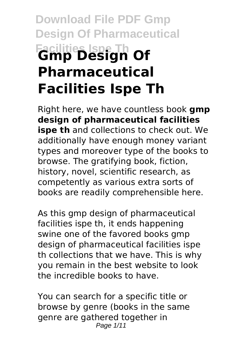# **Download File PDF Gmp Design Of Pharmaceutical Facilities Ispe Th Gmp Design Of Pharmaceutical Facilities Ispe Th**

Right here, we have countless book **gmp design of pharmaceutical facilities ispe th** and collections to check out. We additionally have enough money variant types and moreover type of the books to browse. The gratifying book, fiction, history, novel, scientific research, as competently as various extra sorts of books are readily comprehensible here.

As this gmp design of pharmaceutical facilities ispe th, it ends happening swine one of the favored books gmp design of pharmaceutical facilities ispe th collections that we have. This is why you remain in the best website to look the incredible books to have.

You can search for a specific title or browse by genre (books in the same genre are gathered together in Page 1/11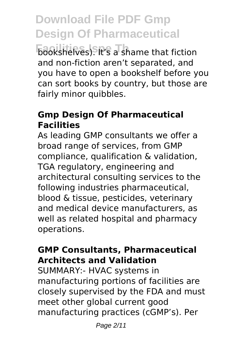**Frankling Facilities** It's a shame that fiction and non-fiction aren't separated, and you have to open a bookshelf before you can sort books by country, but those are fairly minor quibbles.

### **Gmp Design Of Pharmaceutical Facilities**

As leading GMP consultants we offer a broad range of services, from GMP compliance, qualification & validation, TGA regulatory, engineering and architectural consulting services to the following industries pharmaceutical, blood & tissue, pesticides, veterinary and medical device manufacturers, as well as related hospital and pharmacy operations.

### **GMP Consultants, Pharmaceutical Architects and Validation**

SUMMARY:- HVAC systems in manufacturing portions of facilities are closely supervised by the FDA and must meet other global current good manufacturing practices (cGMP's). Per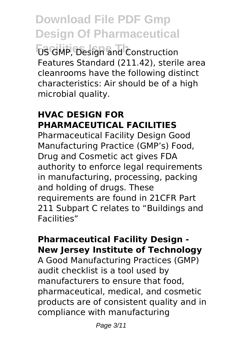**Facilities Ispe Th** US GMP, Design and Construction Features Standard (211.42), sterile area cleanrooms have the following distinct characteristics: Air should be of a high microbial quality.

### **HVAC DESIGN FOR PHARMACEUTICAL FACILITIES**

Pharmaceutical Facility Design Good Manufacturing Practice (GMP's) Food, Drug and Cosmetic act gives FDA authority to enforce legal requirements in manufacturing, processing, packing and holding of drugs. These requirements are found in 21CFR Part 211 Subpart C relates to "Buildings and Facilities"

### **Pharmaceutical Facility Design - New Jersey Institute of Technology**

A Good Manufacturing Practices (GMP) audit checklist is a tool used by manufacturers to ensure that food, pharmaceutical, medical, and cosmetic products are of consistent quality and in compliance with manufacturing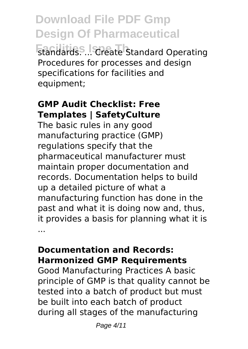**Download File PDF Gmp Design Of Pharmaceutical Frandards. ... Create Standard Operating** Procedures for processes and design specifications for facilities and equipment;

### **GMP Audit Checklist: Free Templates | SafetyCulture**

The basic rules in any good manufacturing practice (GMP) regulations specify that the pharmaceutical manufacturer must maintain proper documentation and records. Documentation helps to build up a detailed picture of what a manufacturing function has done in the past and what it is doing now and, thus, it provides a basis for planning what it is ...

### **Documentation and Records: Harmonized GMP Requirements**

Good Manufacturing Practices A basic principle of GMP is that quality cannot be tested into a batch of product but must be built into each batch of product during all stages of the manufacturing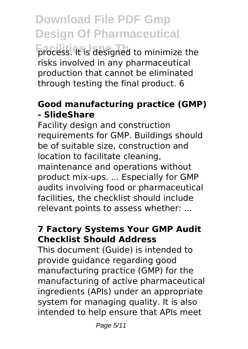**process. It is designed to minimize the** risks involved in any pharmaceutical production that cannot be eliminated through testing the final product. 6

### **Good manufacturing practice (GMP) - SlideShare**

Facility design and construction requirements for GMP. Buildings should be of suitable size, construction and location to facilitate cleaning, maintenance and operations without product mix-ups. ... Especially for GMP audits involving food or pharmaceutical facilities, the checklist should include relevant points to assess whether: ...

### **7 Factory Systems Your GMP Audit Checklist Should Address**

This document (Guide) is intended to provide guidance regarding good manufacturing practice (GMP) for the manufacturing of active pharmaceutical ingredients (APIs) under an appropriate system for managing quality. It is also intended to help ensure that APIs meet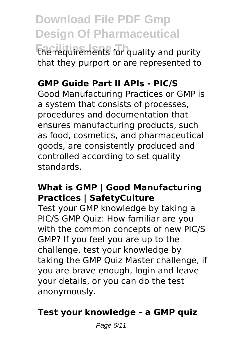**Facilities Islaming The requirements for quality and purity** that they purport or are represented to

### **GMP Guide Part II APIs - PIC/S**

Good Manufacturing Practices or GMP is a system that consists of processes, procedures and documentation that ensures manufacturing products, such as food, cosmetics, and pharmaceutical goods, are consistently produced and controlled according to set quality standards.

#### **What is GMP | Good Manufacturing Practices | SafetyCulture**

Test your GMP knowledge by taking a PIC/S GMP Quiz: How familiar are you with the common concepts of new PIC/S GMP? If you feel you are up to the challenge, test your knowledge by taking the GMP Quiz Master challenge, if you are brave enough, login and leave your details, or you can do the test anonymously.

### **Test your knowledge - a GMP quiz**

Page 6/11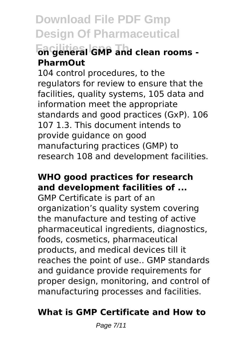### **Facilities Ispe Th on general GMP and clean rooms - PharmOut**

104 control procedures, to the regulators for review to ensure that the facilities, quality systems, 105 data and information meet the appropriate standards and good practices (GxP). 106 107 1.3. This document intends to provide guidance on good manufacturing practices (GMP) to research 108 and development facilities.

### **WHO good practices for research and development facilities of ...**

GMP Certificate is part of an organization's quality system covering the manufacture and testing of active pharmaceutical ingredients, diagnostics, foods, cosmetics, pharmaceutical products, and medical devices till it reaches the point of use.. GMP standards and guidance provide requirements for proper design, monitoring, and control of manufacturing processes and facilities.

### **What is GMP Certificate and How to**

Page 7/11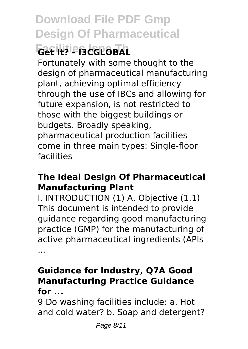# **Facilities Ispe Th Get It? - I3CGLOBAL**

Fortunately with some thought to the design of pharmaceutical manufacturing plant, achieving optimal efficiency through the use of IBCs and allowing for future expansion, is not restricted to those with the biggest buildings or budgets. Broadly speaking, pharmaceutical production facilities come in three main types: Single-floor facilities

### **The Ideal Design Of Pharmaceutical Manufacturing Plant**

I. INTRODUCTION (1) A. Objective (1.1) This document is intended to provide guidance regarding good manufacturing practice (GMP) for the manufacturing of active pharmaceutical ingredients (APIs ...

### **Guidance for Industry, Q7A Good Manufacturing Practice Guidance for ...**

9 Do washing facilities include: a. Hot and cold water? b. Soap and detergent?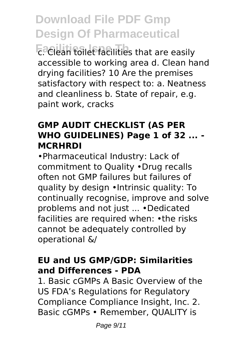**Facilies Facilities** that are easily accessible to working area d. Clean hand drying facilities? 10 Are the premises satisfactory with respect to: a. Neatness and cleanliness b. State of repair, e.g. paint work, cracks

### **GMP AUDIT CHECKLIST (AS PER WHO GUIDELINES) Page 1 of 32 ... - MCRHRDI**

•Pharmaceutical Industry: Lack of commitment to Quality •Drug recalls often not GMP failures but failures of quality by design •Intrinsic quality: To continually recognise, improve and solve problems and not just ... •Dedicated facilities are required when: •the risks cannot be adequately controlled by operational &/

### **EU and US GMP/GDP: Similarities and Differences - PDA**

1. Basic cGMPs A Basic Overview of the US FDA's Regulations for Regulatory Compliance Compliance Insight, Inc. 2. Basic cGMPs • Remember, QUALITY is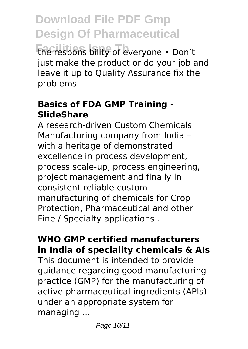**Facilities Ispe Th** the responsibility of everyone • Don't just make the product or do your job and leave it up to Quality Assurance fix the problems

### **Basics of FDA GMP Training - SlideShare**

A research-driven Custom Chemicals Manufacturing company from India – with a heritage of demonstrated excellence in process development, process scale-up, process engineering, project management and finally in consistent reliable custom manufacturing of chemicals for Crop Protection, Pharmaceutical and other Fine / Specialty applications .

### **WHO GMP certified manufacturers in India of speciality chemicals & AIs**

This document is intended to provide guidance regarding good manufacturing practice (GMP) for the manufacturing of active pharmaceutical ingredients (APIs) under an appropriate system for managing ...